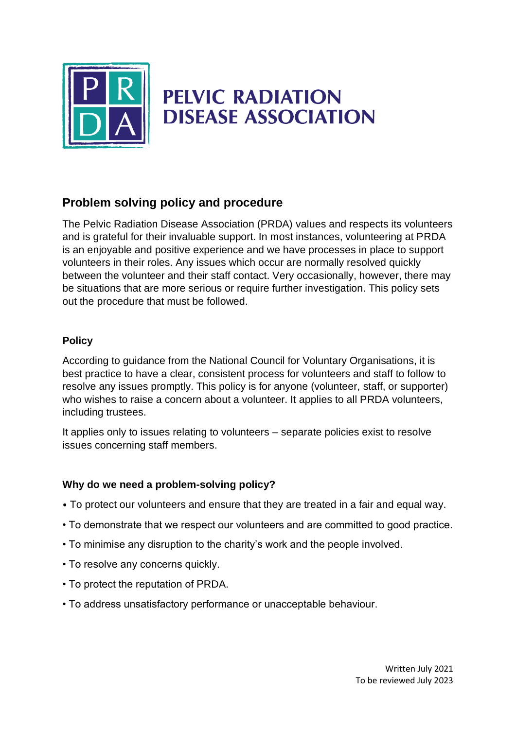

# **PELVIC RADIATION DISEASE ASSOCIATION**

### **Problem solving policy and procedure**

The Pelvic Radiation Disease Association (PRDA) values and respects its volunteers and is grateful for their invaluable support. In most instances, volunteering at PRDA is an enjoyable and positive experience and we have processes in place to support volunteers in their roles. Any issues which occur are normally resolved quickly between the volunteer and their staff contact. Very occasionally, however, there may be situations that are more serious or require further investigation. This policy sets out the procedure that must be followed.

#### **Policy**

According to guidance from the National Council for Voluntary Organisations, it is best practice to have a clear, consistent process for volunteers and staff to follow to resolve any issues promptly. This policy is for anyone (volunteer, staff, or supporter) who wishes to raise a concern about a volunteer. It applies to all PRDA volunteers, including trustees.

It applies only to issues relating to volunteers – separate policies exist to resolve issues concerning staff members.

#### **Why do we need a problem-solving policy?**

- To protect our volunteers and ensure that they are treated in a fair and equal way.
- To demonstrate that we respect our volunteers and are committed to good practice.
- To minimise any disruption to the charity's work and the people involved.
- To resolve any concerns quickly.
- To protect the reputation of PRDA.
- To address unsatisfactory performance or unacceptable behaviour.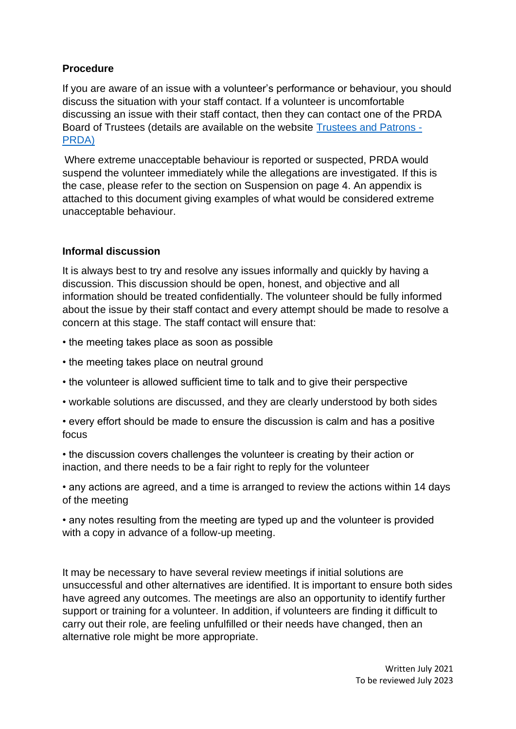#### **Procedure**

If you are aware of an issue with a volunteer's performance or behaviour, you should discuss the situation with your staff contact. If a volunteer is uncomfortable discussing an issue with their staff contact, then they can contact one of the PRDA Board of Trustees (details are available on the website [Trustees and Patrons -](https://www.prda.org.uk/about-prda/trustees-and-patrons/) [PRDA\)](https://www.prda.org.uk/about-prda/trustees-and-patrons/)

Where extreme unacceptable behaviour is reported or suspected, PRDA would suspend the volunteer immediately while the allegations are investigated. If this is the case, please refer to the section on Suspension on page 4. An appendix is attached to this document giving examples of what would be considered extreme unacceptable behaviour.

#### **Informal discussion**

It is always best to try and resolve any issues informally and quickly by having a discussion. This discussion should be open, honest, and objective and all information should be treated confidentially. The volunteer should be fully informed about the issue by their staff contact and every attempt should be made to resolve a concern at this stage. The staff contact will ensure that:

- the meeting takes place as soon as possible
- the meeting takes place on neutral ground
- the volunteer is allowed sufficient time to talk and to give their perspective
- workable solutions are discussed, and they are clearly understood by both sides
- every effort should be made to ensure the discussion is calm and has a positive focus

• the discussion covers challenges the volunteer is creating by their action or inaction, and there needs to be a fair right to reply for the volunteer

• any actions are agreed, and a time is arranged to review the actions within 14 days of the meeting

• any notes resulting from the meeting are typed up and the volunteer is provided with a copy in advance of a follow-up meeting.

It may be necessary to have several review meetings if initial solutions are unsuccessful and other alternatives are identified. It is important to ensure both sides have agreed any outcomes. The meetings are also an opportunity to identify further support or training for a volunteer. In addition, if volunteers are finding it difficult to carry out their role, are feeling unfulfilled or their needs have changed, then an alternative role might be more appropriate.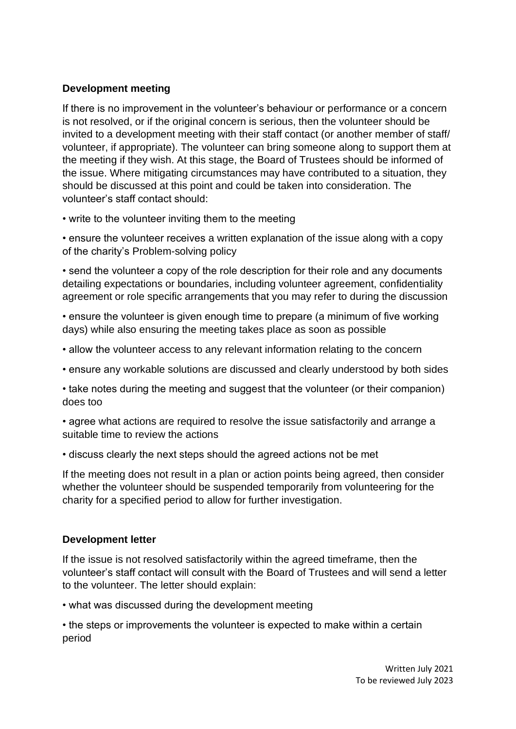#### **Development meeting**

If there is no improvement in the volunteer's behaviour or performance or a concern is not resolved, or if the original concern is serious, then the volunteer should be invited to a development meeting with their staff contact (or another member of staff/ volunteer, if appropriate). The volunteer can bring someone along to support them at the meeting if they wish. At this stage, the Board of Trustees should be informed of the issue. Where mitigating circumstances may have contributed to a situation, they should be discussed at this point and could be taken into consideration. The volunteer's staff contact should:

• write to the volunteer inviting them to the meeting

• ensure the volunteer receives a written explanation of the issue along with a copy of the charity's Problem-solving policy

• send the volunteer a copy of the role description for their role and any documents detailing expectations or boundaries, including volunteer agreement, confidentiality agreement or role specific arrangements that you may refer to during the discussion

• ensure the volunteer is given enough time to prepare (a minimum of five working days) while also ensuring the meeting takes place as soon as possible

• allow the volunteer access to any relevant information relating to the concern

• ensure any workable solutions are discussed and clearly understood by both sides

• take notes during the meeting and suggest that the volunteer (or their companion) does too

• agree what actions are required to resolve the issue satisfactorily and arrange a suitable time to review the actions

• discuss clearly the next steps should the agreed actions not be met

If the meeting does not result in a plan or action points being agreed, then consider whether the volunteer should be suspended temporarily from volunteering for the charity for a specified period to allow for further investigation.

#### **Development letter**

If the issue is not resolved satisfactorily within the agreed timeframe, then the volunteer's staff contact will consult with the Board of Trustees and will send a letter to the volunteer. The letter should explain:

• what was discussed during the development meeting

• the steps or improvements the volunteer is expected to make within a certain period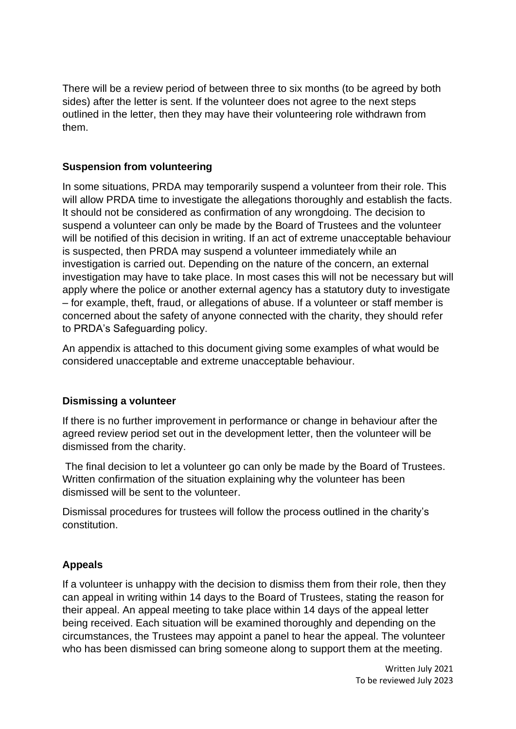There will be a review period of between three to six months (to be agreed by both sides) after the letter is sent. If the volunteer does not agree to the next steps outlined in the letter, then they may have their volunteering role withdrawn from them.

#### **Suspension from volunteering**

In some situations, PRDA may temporarily suspend a volunteer from their role. This will allow PRDA time to investigate the allegations thoroughly and establish the facts. It should not be considered as confirmation of any wrongdoing. The decision to suspend a volunteer can only be made by the Board of Trustees and the volunteer will be notified of this decision in writing. If an act of extreme unacceptable behaviour is suspected, then PRDA may suspend a volunteer immediately while an investigation is carried out. Depending on the nature of the concern, an external investigation may have to take place. In most cases this will not be necessary but will apply where the police or another external agency has a statutory duty to investigate – for example, theft, fraud, or allegations of abuse. If a volunteer or staff member is concerned about the safety of anyone connected with the charity, they should refer to PRDA's Safeguarding policy.

An appendix is attached to this document giving some examples of what would be considered unacceptable and extreme unacceptable behaviour.

#### **Dismissing a volunteer**

If there is no further improvement in performance or change in behaviour after the agreed review period set out in the development letter, then the volunteer will be dismissed from the charity.

The final decision to let a volunteer go can only be made by the Board of Trustees. Written confirmation of the situation explaining why the volunteer has been dismissed will be sent to the volunteer.

Dismissal procedures for trustees will follow the process outlined in the charity's constitution.

#### **Appeals**

If a volunteer is unhappy with the decision to dismiss them from their role, then they can appeal in writing within 14 days to the Board of Trustees, stating the reason for their appeal. An appeal meeting to take place within 14 days of the appeal letter being received. Each situation will be examined thoroughly and depending on the circumstances, the Trustees may appoint a panel to hear the appeal. The volunteer who has been dismissed can bring someone along to support them at the meeting.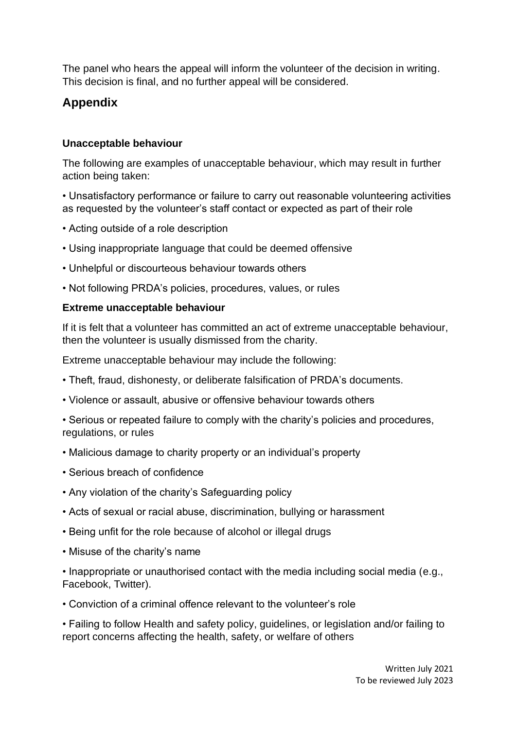The panel who hears the appeal will inform the volunteer of the decision in writing. This decision is final, and no further appeal will be considered.

## **Appendix**

#### **Unacceptable behaviour**

The following are examples of unacceptable behaviour, which may result in further action being taken:

• Unsatisfactory performance or failure to carry out reasonable volunteering activities as requested by the volunteer's staff contact or expected as part of their role

- Acting outside of a role description
- Using inappropriate language that could be deemed offensive
- Unhelpful or discourteous behaviour towards others
- Not following PRDA's policies, procedures, values, or rules

#### **Extreme unacceptable behaviour**

If it is felt that a volunteer has committed an act of extreme unacceptable behaviour, then the volunteer is usually dismissed from the charity.

Extreme unacceptable behaviour may include the following:

- Theft, fraud, dishonesty, or deliberate falsification of PRDA's documents.
- Violence or assault, abusive or offensive behaviour towards others

• Serious or repeated failure to comply with the charity's policies and procedures, regulations, or rules

- Malicious damage to charity property or an individual's property
- Serious breach of confidence
- Any violation of the charity's Safeguarding policy
- Acts of sexual or racial abuse, discrimination, bullying or harassment
- Being unfit for the role because of alcohol or illegal drugs
- Misuse of the charity's name

• Inappropriate or unauthorised contact with the media including social media (e.g., Facebook, Twitter).

• Conviction of a criminal offence relevant to the volunteer's role

• Failing to follow Health and safety policy, guidelines, or legislation and/or failing to report concerns affecting the health, safety, or welfare of others